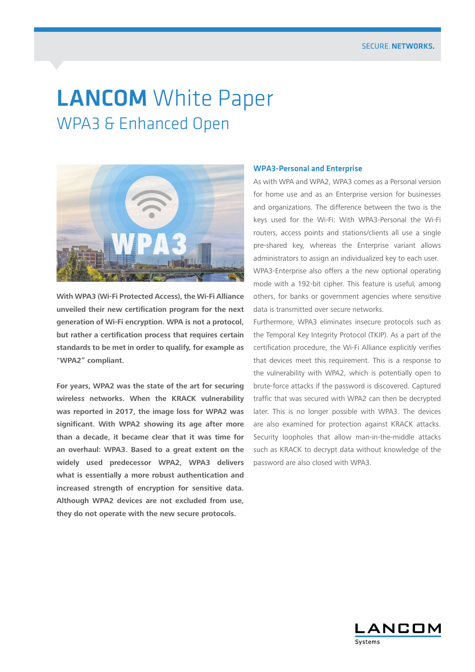# **LANCOM** White Paper WPA3 & Enhanced Open



**With WPA3 (Wi-Fi Protected Access), the Wi-Fi Alliance unveiled their new certification program for the next generation of Wi-Fi encryption. WPA is not a protocol, but rather a certification process that requires certain standards to be met in order to qualify, for example as "WPA2" compliant.**

**For years, WPA2 was the state of the art for securing wireless networks. When the KRACK vulnerability was reported in 2017, the image loss for WPA2 was significant. With WPA2 showing its age after more than a decade, it became clear that it was time for an overhaul: WPA3. Based to a great extent on the widely used predecessor WPA2, WPA3 delivers what is essentially a more robust authentication and increased strength of encryption for sensitive data. Although WPA2 devices are not excluded from use, they do not operate with the new secure protocols.**

#### WPA3-Personal and Enterprise

As with WPA and WPA2, WPA3 comes as a Personal version for home use and as an Enterprise version for businesses and organizations. The difference between the two is the keys used for the Wi-Fi: With WPA3-Personal the Wi-Fi routers, access points and stations/clients all use a single pre-shared key, whereas the Enterprise variant allows administrators to assign an individualized key to each user. WPA3-Enterprise also offers a the new optional operating mode with a 192-bit cipher. This feature is useful, among

others, for banks or government agencies where sensitive data is transmitted over secure networks.

Furthermore, WPA3 eliminates insecure protocols such as the Temporal Key Integrity Protocol (TKIP). As a part of the certification procedure, the Wi-Fi Alliance explicitly verifies that devices meet this requirement. This is a response to the vulnerability with WPA2, which is potentially open to brute-force attacks if the password is discovered. Captured traffic that was secured with WPA2 can then be decrypted later. This is no longer possible with WPA3. The devices are also examined for protection against KRACK attacks. Security loopholes that allow man-in-the-middle attacks such as KRACK to decrypt data without knowledge of the password are also closed with WPA3.

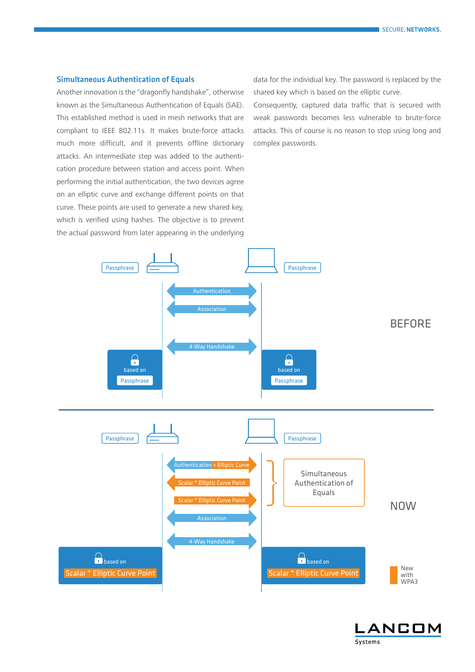## Simultaneous Authentication of Equals

Another innovation is the "dragonfly handshake", otherwise known as the Simultaneous Authentication of Equals (SAE). This established method is used in mesh networks that are compliant to IEEE 802.11s. It makes brute-force attacks much more difficult, and it prevents offline dictionary attacks. An intermediate step was added to the authentication procedure between station and access point. When performing the initial authentication, the two devices agree on an elliptic curve and exchange different points on that curve. These points are used to generate a new shared key, which is verified using hashes. The objective is to prevent the actual password from later appearing in the underlying

data for the individual key. The password is replaced by the shared key which is based on the elliptic curve.

Consequently, captured data traffic that is secured with weak passwords becomes less vulnerable to brute-force attacks. This of course is no reason to stop using long and complex passwords.